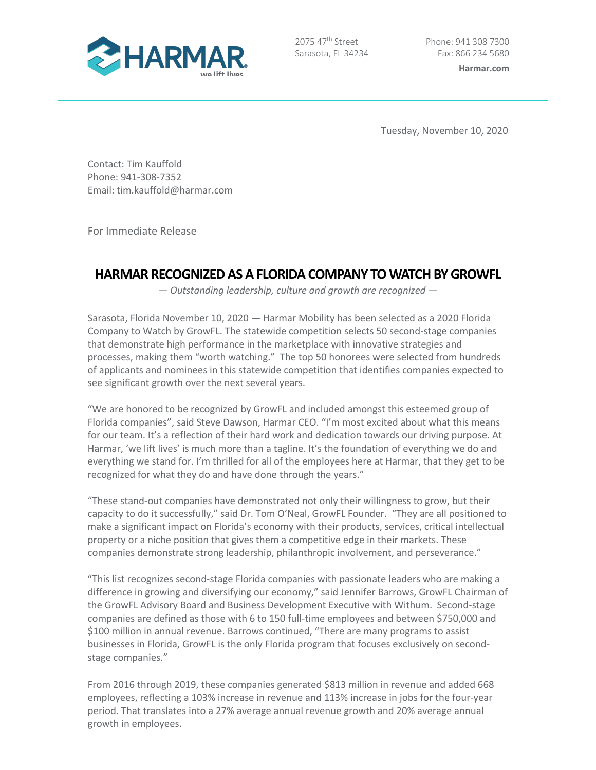

2075 47<sup>th</sup> Street Sarasota, FL 34234

Tuesday, November 10, 2020

Contact: Tim Kauffold Phone: 941-308-7352 Email: tim.kauffold@harmar.com

For Immediate Release

# **HARMAR RECOGNIZED AS A FLORIDA COMPANY TO WATCHBY GROWFL**

— *Outstanding leadership, culture and growth are recognized* —

Sarasota, Florida November 10, 2020 — Harmar Mobility has been selected as a 2020 Florida Company to Watch by GrowFL. The statewide competition selects 50 second-stage companies that demonstrate high performance in the marketplace with innovative strategies and processes, making them "worth watching." The top 50 honorees were selected from hundreds of applicants and nominees in this statewide competition that identifies companies expected to see significant growth over the next several years.

"We are honored to be recognized by GrowFL and included amongst this esteemed group of Florida companies", said Steve Dawson, Harmar CEO. "I'm most excited about what this means for our team. It's a reflection of their hard work and dedication towards our driving purpose. At Harmar, 'we lift lives' is much more than a tagline. It's the foundation of everything we do and everything we stand for. I'm thrilled for all of the employees here at Harmar, that they get to be recognized for what they do and have done through the years."

"These stand-out companies have demonstrated not only their willingness to grow, but their capacity to do it successfully," said Dr. Tom O'Neal, GrowFL Founder. "They are all positioned to make a significant impact on Florida's economy with their products, services, critical intellectual property or a niche position that gives them a competitive edge in their markets. These companies demonstrate strong leadership, philanthropic involvement, and perseverance."

"This list recognizes second-stage Florida companies with passionate leaders who are making a difference in growing and diversifying our economy," said Jennifer Barrows, GrowFL Chairman of the GrowFL Advisory Board and Business Development Executive with Withum. Second-stage companies are defined as those with 6 to 150 full-time employees and between \$750,000 and \$100 million in annual revenue. Barrows continued, "There are many programs to assist businesses in Florida, GrowFL is the only Florida program that focuses exclusively on secondstage companies."

From 2016 through 2019, these companies generated \$813 million in revenue and added 668 employees, reflecting a 103% increase in revenue and 113% increase in jobs for the four-year period. That translates into a 27% average annual revenue growth and 20% average annual growth in employees.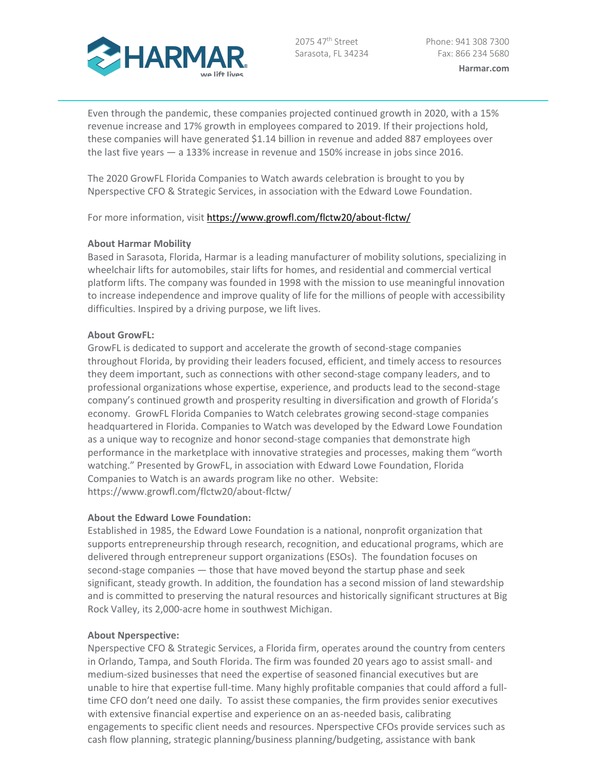

2075 47<sup>th</sup> Street Sarasota, FL 34234

Even through the pandemic, these companies projected continued growth in 2020, with a 15% revenue increase and 17% growth in employees compared to 2019. If their projections hold, these companies will have generated \$1.14 billion in revenue and added 887 employees over the last five years — a 133% increase in revenue and 150% increase in jobs since 2016.

The 2020 GrowFL Florida Companies to Watch awards celebration is brought to you by Nperspective CFO & Strategic Services, in association with the Edward Lowe Foundation.

For more information, visit https://www.growfl.com/flctw20/about-flctw/

# **About Harmar Mobility**

Based in Sarasota, Florida, Harmar is a leading manufacturer of mobility solutions, specializing in wheelchair lifts for automobiles, stair lifts for homes, and residential and commercial vertical platform lifts. The company was founded in 1998 with the mission to use meaningful innovation to increase independence and improve quality of life for the millions of people with accessibility difficulties. Inspired by a driving purpose, we lift lives.

# **About GrowFL:**

GrowFL is dedicated to support and accelerate the growth of second-stage companies throughout Florida, by providing their leaders focused, efficient, and timely access to resources they deem important, such as connections with other second-stage company leaders, and to professional organizations whose expertise, experience, and products lead to the second-stage company's continued growth and prosperity resulting in diversification and growth of Florida's economy. GrowFL Florida Companies to Watch celebrates growing second-stage companies headquartered in Florida. Companies to Watch was developed by the Edward Lowe Foundation as a unique way to recognize and honor second-stage companies that demonstrate high performance in the marketplace with innovative strategies and processes, making them "worth watching." Presented by GrowFL, in association with Edward Lowe Foundation, Florida Companies to Watch is an awards program like no other. Website: https://www.growfl.com/flctw20/about-flctw/

# **About the Edward Lowe Foundation:**

Established in 1985, the Edward Lowe Foundation is a national, nonprofit organization that supports entrepreneurship through research, recognition, and educational programs, which are delivered through entrepreneur support organizations (ESOs). The foundation focuses on second-stage companies — those that have moved beyond the startup phase and seek significant, steady growth. In addition, the foundation has a second mission of land stewardship and is committed to preserving the natural resources and historically significant structures at Big Rock Valley, its 2,000-acre home in southwest Michigan.

# **About Nperspective:**

Nperspective CFO & Strategic Services, a Florida firm, operates around the country from centers in Orlando, Tampa, and South Florida. The firm was founded 20 years ago to assist small- and medium-sized businesses that need the expertise of seasoned financial executives but are unable to hire that expertise full-time. Many highly profitable companies that could afford a fulltime CFO don't need one daily. To assist these companies, the firm provides senior executives with extensive financial expertise and experience on an as-needed basis, calibrating engagements to specific client needs and resources. Nperspective CFOs provide services such as cash flow planning, strategic planning/business planning/budgeting, assistance with bank